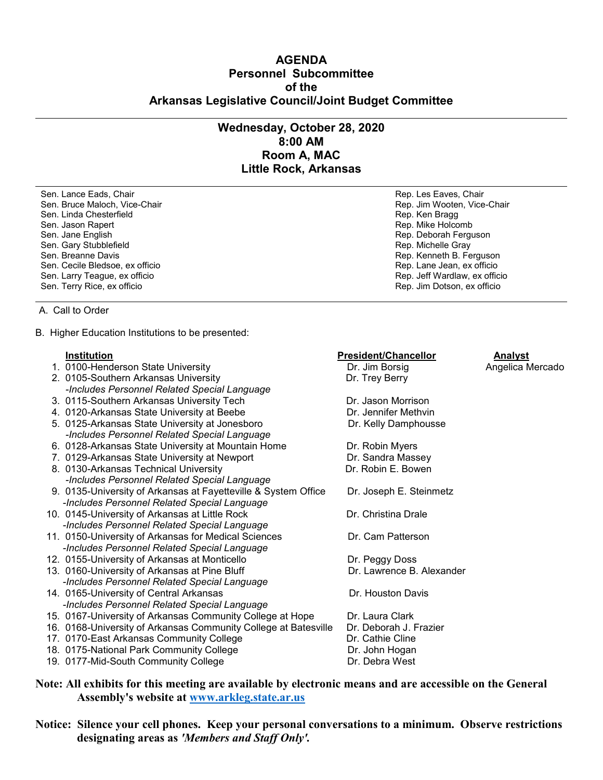## **AGENDA Personnel Subcommittee of the Arkansas Legislative Council/Joint Budget Committee**

## **Wednesday, October 28, 2020 8:00 AM Room A, MAC Little Rock, Arkansas**

Sen. Lance Eads, Chair Rep. Les Eaves, Chair Rep. Les Eaves, Chair Rep. Les Eaves, Chair Sen. Bruce Maloch, Vice-Chair **Rep. 3. In Sen. And Sen. Bruce Maloch**, Vice-Chair Rep. Jim Wooten, Vice-Chair Sen. Linda Chesterfield **Rep. Ken Bragg** Sen. Jason Rapert **Rep. Accombing the Contract Official Accom**bing Sen. Jason Rep. Mike Holcombing The Rep. Mike Holcombing The Rep. Mike Holcombing The Rep. Mike Holcombing The Rep. Mike Holcombing The Rep. Mike Holcombin Sen. Jane English Rep. Deborah Ferguson Sen. Gary Stubblefield **Rep. Michelle Gray** Sen. Breanne Davis and Sen. Breanne Davis Sen. Bread of the Sen. Rep. Kenneth B. Ferguson<br>Sen. Cecile Bledsoe, ex officio Sen. Cecile Bledsoe, ex officio and the sense of the sense of the sense of the Sen. Lane Jean, ex officio Sen. Lane Jean, ex officio Sen. Larry Teaque, ex officio and Sen. Larry Teaque, ex officio and Sen. Larry Teaque, ex Sen. Larry Teague, ex officio Sen. Terry Rice, ex officio Rep. Jim Dotson, ex officio

## A. Call to Order

B. Higher Education Institutions to be presented:

- 1. 0100-Henderson State University New York Christian Dr. Jim Borsig Negelica Mercado
- 2. 0105-Southern Arkansas University **Dr. Trey Berry** Dr. Trey Berry *-Includes Personnel Related Special Language*
- 3. 0115-Southern Arkansas University Tech Dr. Jason Morrison
- 4. 0120-Arkansas State University at Beebe **Dr. Jennifer Methvin**
- 5. 0125-Arkansas State University at Jonesboro **Dr. Kelly Damphousse** *-Includes Personnel Related Special Language*
- 6. 0128-Arkansas State University at Mountain Home Dr. Robin Myers
- 7. 0129-Arkansas State University at Newport **Dr. Sandra Massey**
- 8. 0130-Arkansas Technical University **Dr. Robin E. Bowen** *-Includes Personnel Related Special Language*
- 9. 0135-University of Arkansas at Fayetteville & System Office Dr. Joseph E. Steinmetz *-Includes Personnel Related Special Language*
- 10. 0145-University of Arkansas at Little Rock The Christina Drale *-Includes Personnel Related Special Language*
- 11. 0150-University of Arkansas for Medical Sciences **DR. Cam Patterson** *-Includes Personnel Related Special Language*
- 12. 0155-University of Arkansas at Monticello **Dr. Peggy Doss**
- 13. 0160-University of Arkansas at Pine Bluff **Dr. Lawrence B. Alexander** *-Includes Personnel Related Special Language*
- 14. 0165-University of Central Arkansas **DR. Houston Davis** Dr. Houston Davis *-Includes Personnel Related Special Language*
- 15. 0167-University of Arkansas Community College at Hope Dr. Laura Clark
- 16. 0168-University of Arkansas Community College at Batesville Dr. Deborah J. Frazier
- 17. 0170-East Arkansas Community College **Dr. Cathie Cline**
- 18. 0175-National Park Community College **Dr. John Hogan**
- 19. 0177-Mid-South Community College **Dr. Debra West**

| <b>Institution</b> | <b>President/Chancellor</b> | Analyst |
|--------------------|-----------------------------|---------|
|                    |                             |         |

- 
- 
- 
- 

- 
- 
- 
- 
- 
- 
- 

**Note: All exhibits for this meeting are available by electronic means and are accessible on the General Assembly's website at [www.arkleg.state.ar.us](http://www.arkleg.state.ar.us)**

**Notice: Silence your cell phones. Keep your personal conversations to a minimum. Observe restrictions designating areas as** *'Members and Staff Only'.*